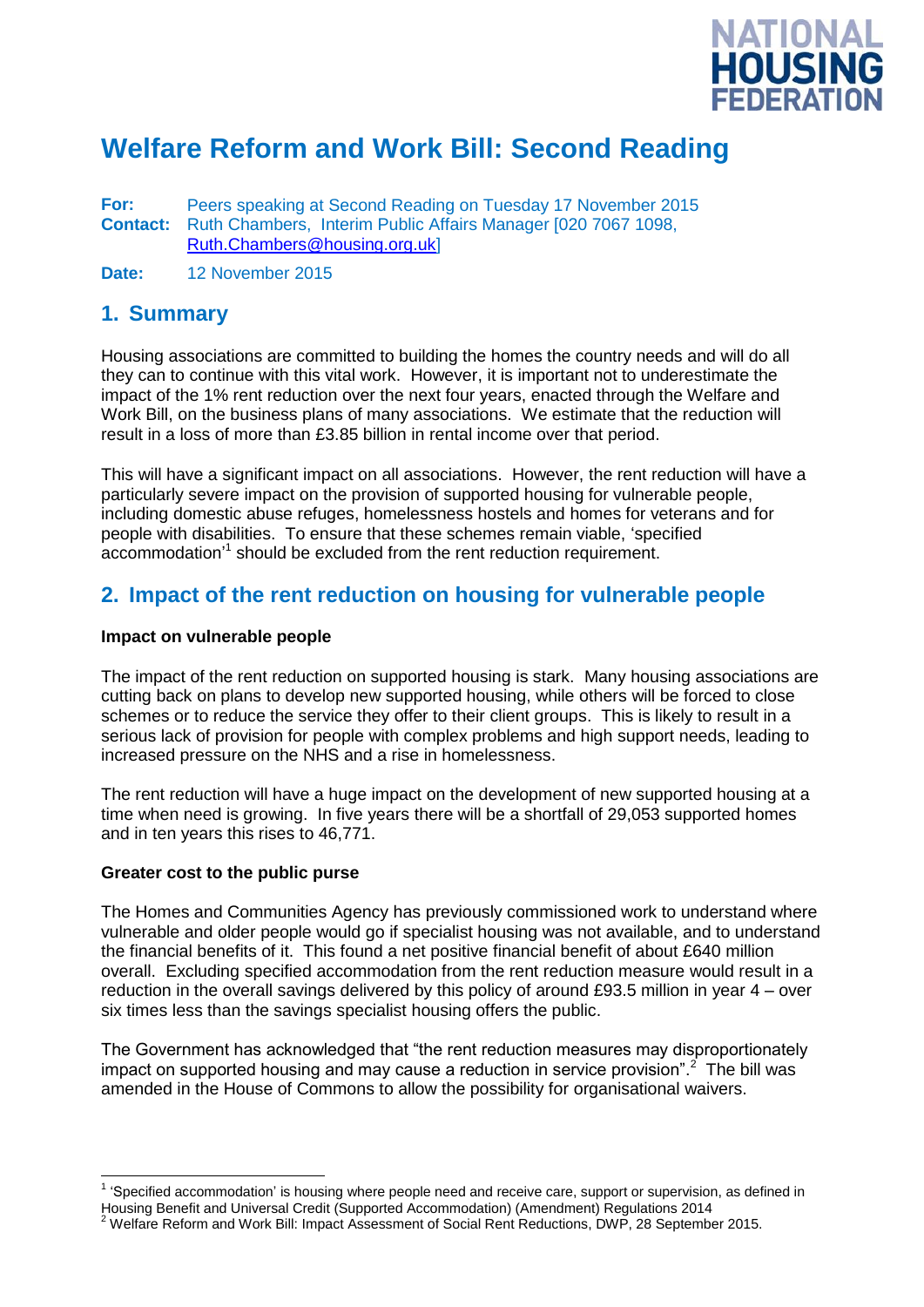

# **Welfare Reform and Work Bill: Second Reading**

**For:** Peers speaking at Second Reading on Tuesday 17 November 2015 **Contact:** Ruth Chambers, Interim Public Affairs Manager [020 7067 1098, [Ruth.Chambers@housing.org.uk\]](mailto:Ruth.Chambers@housing.org.uk)

**Date:** 12 November 2015

### **1. Summary**

Housing associations are committed to building the homes the country needs and will do all they can to continue with this vital work. However, it is important not to underestimate the impact of the 1% rent reduction over the next four years, enacted through the Welfare and Work Bill, on the business plans of many associations. We estimate that the reduction will result in a loss of more than £3.85 billion in rental income over that period.

This will have a significant impact on all associations. However, the rent reduction will have a particularly severe impact on the provision of supported housing for vulnerable people, including domestic abuse refuges, homelessness hostels and homes for veterans and for people with disabilities. To ensure that these schemes remain viable, 'specified accommodation'<sup>1</sup> should be excluded from the rent reduction requirement.

### **2. Impact of the rent reduction on housing for vulnerable people**

#### **Impact on vulnerable people**

The impact of the rent reduction on supported housing is stark. Many housing associations are cutting back on plans to develop new supported housing, while others will be forced to close schemes or to reduce the service they offer to their client groups. This is likely to result in a serious lack of provision for people with complex problems and high support needs, leading to increased pressure on the NHS and a rise in homelessness.

The rent reduction will have a huge impact on the development of new supported housing at a time when need is growing. In five years there will be a shortfall of 29,053 supported homes and in ten years this rises to 46,771.

#### **Greater cost to the public purse**

j

The Homes and Communities Agency has previously commissioned work to understand where vulnerable and older people would go if specialist housing was not available, and to understand the financial benefits of it. This found a net positive financial benefit of about £640 million overall. Excluding specified accommodation from the rent reduction measure would result in a reduction in the overall savings delivered by this policy of around £93.5 million in year 4 – over six times less than the savings specialist housing offers the public.

The Government has acknowledged that "the rent reduction measures may disproportionately impact on supported housing and may cause a reduction in service provision".<sup>2</sup> The bill was amended in the House of Commons to allow the possibility for organisational waivers.

<sup>1</sup> 'Specified accommodation' is housing where people need and receive care, support or supervision, as defined in Housing Benefit and Universal Credit (Supported Accommodation) (Amendment) Regulations 2014

<sup>2</sup> Welfare Reform and Work Bill: Impact Assessment of Social Rent Reductions, DWP, 28 September 2015.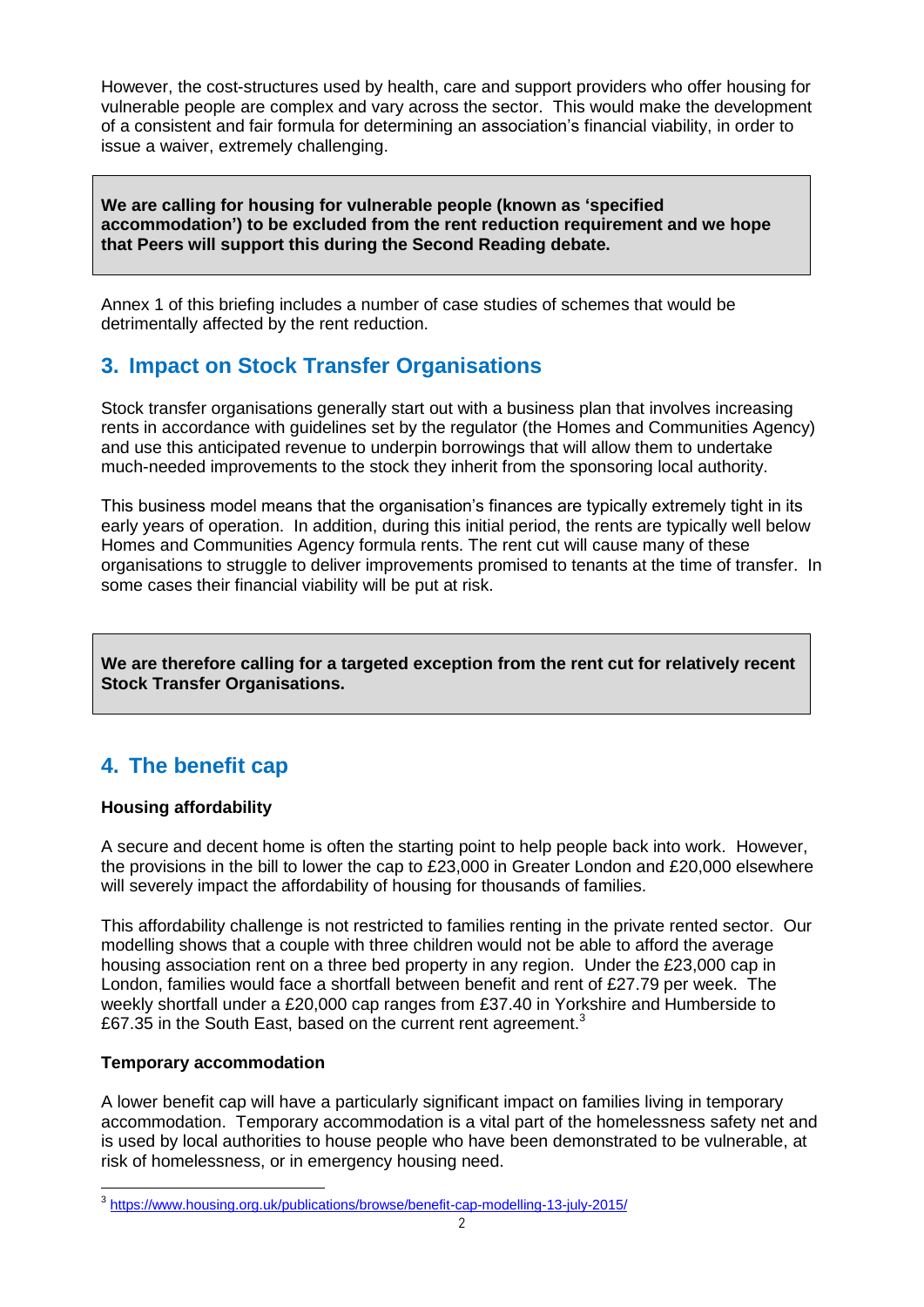However, the cost-structures used by health, care and support providers who offer housing for vulnerable people are complex and vary across the sector. This would make the development of a consistent and fair formula for determining an association's financial viability, in order to issue a waiver, extremely challenging.

**We are calling for housing for vulnerable people (known as 'specified accommodation') to be excluded from the rent reduction requirement and we hope that Peers will support this during the Second Reading debate.**

Annex 1 of this briefing includes a number of case studies of schemes that would be detrimentally affected by the rent reduction.

## **3. Impact on Stock Transfer Organisations**

Stock transfer organisations generally start out with a business plan that involves increasing rents in accordance with guidelines set by the regulator (the Homes and Communities Agency) and use this anticipated revenue to underpin borrowings that will allow them to undertake much-needed improvements to the stock they inherit from the sponsoring local authority.

This business model means that the organisation's finances are typically extremely tight in its early years of operation. In addition, during this initial period, the rents are typically well below Homes and Communities Agency formula rents. The rent cut will cause many of these organisations to struggle to deliver improvements promised to tenants at the time of transfer. In some cases their financial viability will be put at risk.

**We are therefore calling for a targeted exception from the rent cut for relatively recent Stock Transfer Organisations.**

# **4. The benefit cap**

#### **Housing affordability**

A secure and decent home is often the starting point to help people back into work. However, the provisions in the bill to lower the cap to £23,000 in Greater London and £20,000 elsewhere will severely impact the affordability of housing for thousands of families.

This affordability challenge is not restricted to families renting in the private rented sector. Our modelling shows that a couple with three children would not be able to afford the average housing association rent on a three bed property in any region. Under the £23,000 cap in London, families would face a shortfall between benefit and rent of £27.79 per week. The weekly shortfall under a £20,000 cap ranges from £37.40 in Yorkshire and Humberside to £67.35 in the South East, based on the current rent agreement.<sup>3</sup>

#### **Temporary accommodation**

A lower benefit cap will have a particularly significant impact on families living in temporary accommodation. Temporary accommodation is a vital part of the homelessness safety net and is used by local authorities to house people who have been demonstrated to be vulnerable, at risk of homelessness, or in emergency housing need.

<sup>&</sup>lt;sup>3</sup> <https://www.housing.org.uk/publications/browse/benefit-cap-modelling-13-july-2015/>